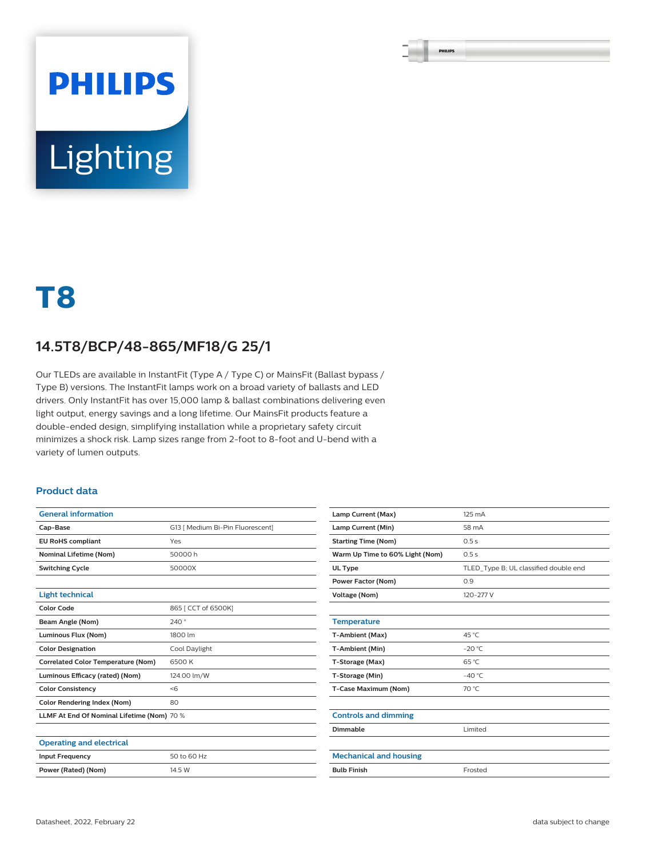# **PHILIPS** Lighting

## **T8**

#### **14.5T8/BCP/48-865/MF18/G 25/1**

Our TLEDs are available in InstantFit (Type A / Type C) or MainsFit (Ballast bypass / Type B) versions. The InstantFit lamps work on a broad variety of ballasts and LED drivers. Only InstantFit has over 15,000 lamp & ballast combinations delivering even light output, energy savings and a long lifetime. Our MainsFit products feature a double-ended design, simplifying installation while a proprietary safety circuit minimizes a shock risk. Lamp sizes range from 2-foot to 8-foot and U-bend with a variety of lumen outputs.

#### **Product data**

| <b>General information</b>                 |                                  |  |  |  |
|--------------------------------------------|----------------------------------|--|--|--|
| Cap-Base                                   | G13   Medium Bi-Pin Fluorescent] |  |  |  |
| <b>EU RoHS compliant</b>                   | Yes                              |  |  |  |
| <b>Nominal Lifetime (Nom)</b>              | 50000 h                          |  |  |  |
| <b>Switching Cycle</b>                     | 50000X                           |  |  |  |
|                                            |                                  |  |  |  |
| <b>Light technical</b>                     |                                  |  |  |  |
| <b>Color Code</b>                          | 865 [ CCT of 6500K]              |  |  |  |
| Beam Angle (Nom)                           | 240°                             |  |  |  |
| Luminous Flux (Nom)                        | 1800 lm                          |  |  |  |
| <b>Color Designation</b>                   | Cool Daylight                    |  |  |  |
| <b>Correlated Color Temperature (Nom)</b>  | 6500 K                           |  |  |  |
| Luminous Efficacy (rated) (Nom)            | 124.00 lm/W                      |  |  |  |
| <b>Color Consistency</b>                   | < 6                              |  |  |  |
| <b>Color Rendering Index (Nom)</b>         | 80                               |  |  |  |
| LLMF At End Of Nominal Lifetime (Nom) 70 % |                                  |  |  |  |
|                                            |                                  |  |  |  |
| <b>Operating and electrical</b>            |                                  |  |  |  |
| <b>Input Frequency</b>                     | 50 to 60 Hz                      |  |  |  |
| Power (Rated) (Nom)                        | 14.5 W                           |  |  |  |

| Lamp Current (Max)              | 125 mA                                |  |  |  |
|---------------------------------|---------------------------------------|--|--|--|
| Lamp Current (Min)              | 58 mA                                 |  |  |  |
| <b>Starting Time (Nom)</b>      | 0.5s                                  |  |  |  |
| Warm Up Time to 60% Light (Nom) | 0.5s                                  |  |  |  |
| UL Type                         | TLED Type B; UL classified double end |  |  |  |
| <b>Power Factor (Nom)</b>       | 0.9                                   |  |  |  |
| <b>Voltage (Nom)</b>            | 120-277 V                             |  |  |  |
|                                 |                                       |  |  |  |
| <b>Temperature</b>              |                                       |  |  |  |
| T-Ambient (Max)                 | 45 °C                                 |  |  |  |
| T-Ambient (Min)                 | $-20 °C$                              |  |  |  |
| T-Storage (Max)                 | $65^{\circ}$ C                        |  |  |  |
| T-Storage (Min)                 | $-40^{\circ}$ C                       |  |  |  |
| T-Case Maximum (Nom)            | 70 °C                                 |  |  |  |
|                                 |                                       |  |  |  |
| <b>Controls and dimming</b>     |                                       |  |  |  |
| Dimmable                        | Limited                               |  |  |  |
|                                 |                                       |  |  |  |
| <b>Mechanical and housing</b>   |                                       |  |  |  |
| <b>Bulb Finish</b>              | Frosted                               |  |  |  |
|                                 |                                       |  |  |  |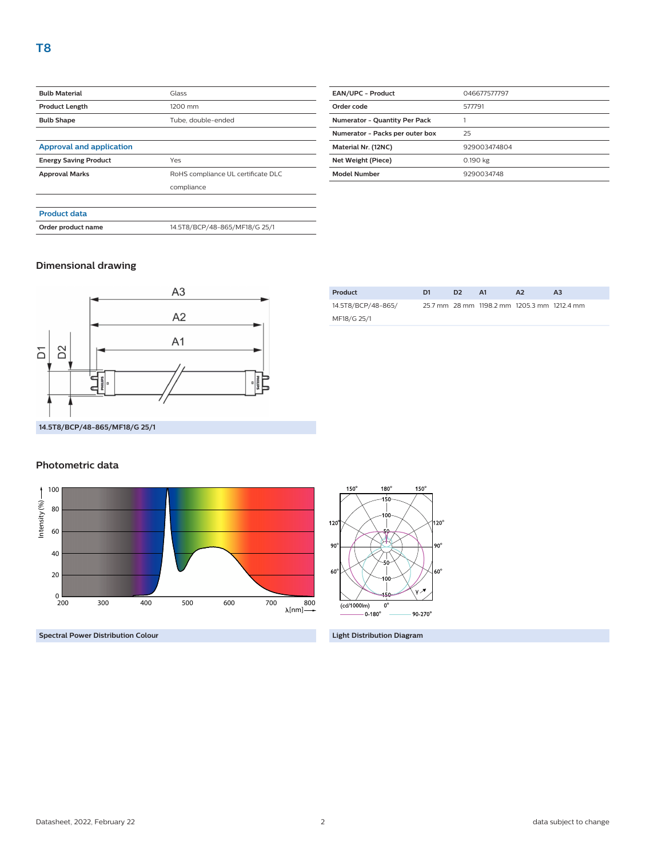| <b>Bulb Material</b>            | Glass                              |  |  |  |
|---------------------------------|------------------------------------|--|--|--|
| <b>Product Length</b>           | 1200 mm                            |  |  |  |
| <b>Bulb Shape</b>               | Tube, double-ended                 |  |  |  |
|                                 |                                    |  |  |  |
| <b>Approval and application</b> |                                    |  |  |  |
| <b>Energy Saving Product</b>    | Yes                                |  |  |  |
| <b>Approval Marks</b>           | RoHS compliance UL certificate DLC |  |  |  |
|                                 | compliance                         |  |  |  |
|                                 |                                    |  |  |  |
| <b>Product data</b>             |                                    |  |  |  |
| Order product name              | 14.5T8/BCP/48-865/MF18/G 25/1      |  |  |  |
|                                 |                                    |  |  |  |

| <b>EAN/UPC - Product</b>             | 046677577797 |  |
|--------------------------------------|--------------|--|
| Order code                           | 577791       |  |
| <b>Numerator - Quantity Per Pack</b> |              |  |
| Numerator - Packs per outer box      | 25           |  |
| Material Nr. (12NC)                  | 929003474804 |  |
| Net Weight (Piece)                   | 0.190 kg     |  |
| <b>Model Number</b>                  | 9290034748   |  |
|                                      |              |  |

#### **Dimensional drawing**



| Product            | D <sub>1</sub> | D <sub>2</sub> | A1 | A2                                          | A <sub>3</sub> |
|--------------------|----------------|----------------|----|---------------------------------------------|----------------|
| 14.5T8/BCP/48-865/ |                |                |    | 25.7 mm 28 mm 1198.2 mm 1205.3 mm 1212.4 mm |                |
| MF18/G 25/1        |                |                |    |                                             |                |
|                    |                |                |    |                                             |                |

#### **Photometric data**



**Spectral Power Distribution Colour Light Distribution Diagram**

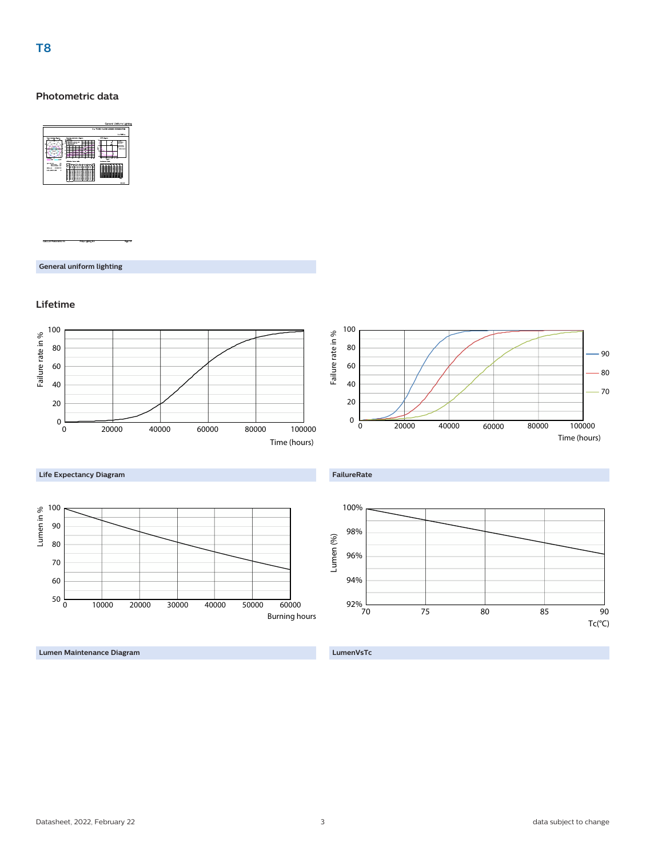### **T8**

#### **Photometric data**



**General uniform lighting**

#### **Lifetime**